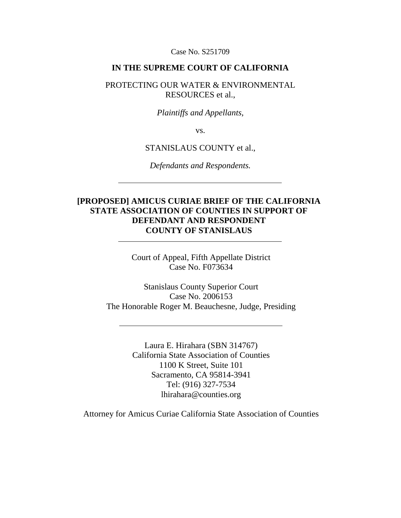Case No. S251709

### **IN THE SUPREME COURT OF CALIFORNIA**

### PROTECTING OUR WATER & ENVIRONMENTAL RESOURCES et al.,

#### *Plaintiffs and Appellants,*

vs.

### STANISLAUS COUNTY et al.,

*Defendants and Respondents.*

## **[PROPOSED] AMICUS CURIAE BRIEF OF THE CALIFORNIA STATE ASSOCIATION OF COUNTIES IN SUPPORT OF DEFENDANT AND RESPONDENT COUNTY OF STANISLAUS**

Court of Appeal, Fifth Appellate District Case No. F073634

Stanislaus County Superior Court Case No. 2006153 The Honorable Roger M. Beauchesne, Judge, Presiding

> Laura E. Hirahara (SBN 314767) California State Association of Counties 1100 K Street, Suite 101 Sacramento, CA 95814-3941 Tel: (916) 327-7534 lhirahara@counties.org

Attorney for Amicus Curiae California State Association of Counties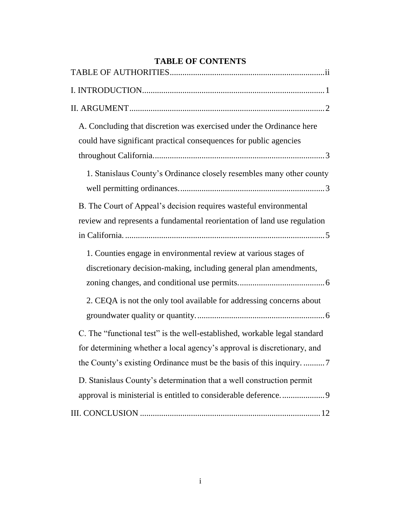| <b>TABLE OF CONTENTS</b>                                                                                                                                                                                                |  |  |
|-------------------------------------------------------------------------------------------------------------------------------------------------------------------------------------------------------------------------|--|--|
|                                                                                                                                                                                                                         |  |  |
|                                                                                                                                                                                                                         |  |  |
|                                                                                                                                                                                                                         |  |  |
| A. Concluding that discretion was exercised under the Ordinance here<br>could have significant practical consequences for public agencies                                                                               |  |  |
| 1. Stanislaus County's Ordinance closely resembles many other county                                                                                                                                                    |  |  |
| B. The Court of Appeal's decision requires wasteful environmental<br>review and represents a fundamental reorientation of land use regulation                                                                           |  |  |
| 1. Counties engage in environmental review at various stages of<br>discretionary decision-making, including general plan amendments,<br>2. CEQA is not the only tool available for addressing concerns about            |  |  |
| C. The "functional test" is the well-established, workable legal standard                                                                                                                                               |  |  |
| for determining whether a local agency's approval is discretionary, and<br>the County's existing Ordinance must be the basis of this inquiry. 7<br>D. Stanislaus County's determination that a well construction permit |  |  |
|                                                                                                                                                                                                                         |  |  |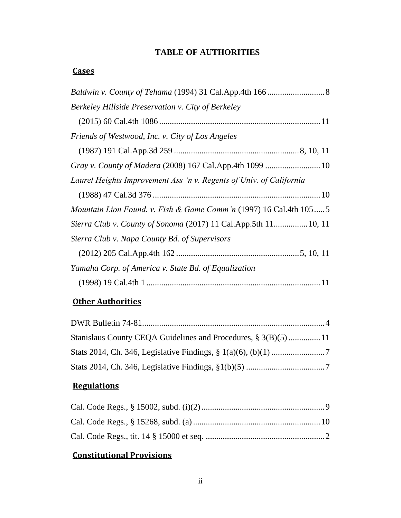# **TABLE OF AUTHORITIES**

## <span id="page-2-0"></span>**Cases**

| Berkeley Hillside Preservation v. City of Berkeley                           |
|------------------------------------------------------------------------------|
|                                                                              |
| Friends of Westwood, Inc. v. City of Los Angeles                             |
|                                                                              |
|                                                                              |
| Laurel Heights Improvement Ass 'n v. Regents of Univ. of California          |
|                                                                              |
| <i>Mountain Lion Found. v. Fish &amp; Game Comm'n</i> (1997) 16 Cal.4th 1055 |
| Sierra Club v. County of Sonoma (2017) 11 Cal. App. 5th 11 10, 11            |
| Sierra Club v. Napa County Bd. of Supervisors                                |
|                                                                              |
| Yamaha Corp. of America v. State Bd. of Equalization                         |
|                                                                              |

# **Other Authorities**

# **Regulations**

# **Constitutional Provisions**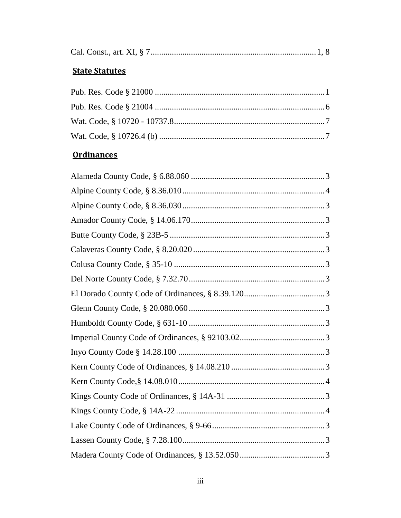|--|--|--|--|--|--|--|--|

# **State Statutes**

## **Ordinances**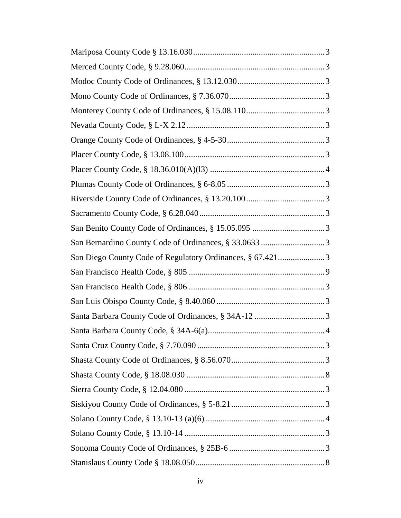| San Diego County Code of Regulatory Ordinances, § 67.4213 |
|-----------------------------------------------------------|
|                                                           |
|                                                           |
|                                                           |
|                                                           |
|                                                           |
|                                                           |
|                                                           |
|                                                           |
|                                                           |
|                                                           |
|                                                           |
|                                                           |
|                                                           |
|                                                           |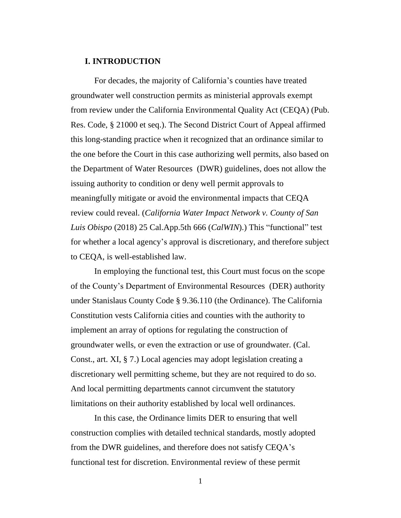#### <span id="page-6-0"></span>**I. INTRODUCTION**

For decades, the majority of California's counties have treated groundwater well construction permits as ministerial approvals exempt from review under the California Environmental Quality Act (CEQA) (Pub. Res. Code, § 21000 et seq.). The Second District Court of Appeal affirmed this long-standing practice when it recognized that an ordinance similar to the one before the Court in this case authorizing well permits, also based on the Department of Water Resources (DWR) guidelines, does not allow the issuing authority to condition or deny well permit approvals to meaningfully mitigate or avoid the environmental impacts that CEQA review could reveal. (*California Water Impact Network v. County of San Luis Obispo* (2018) 25 Cal.App.5th 666 (*CalWIN*).) This "functional" test for whether a local agency's approval is discretionary, and therefore subject to CEQA, is well-established law.

In employing the functional test, this Court must focus on the scope of the County's Department of Environmental Resources (DER) authority under Stanislaus County Code § 9.36.110 (the Ordinance). The California Constitution vests California cities and counties with the authority to implement an array of options for regulating the construction of groundwater wells, or even the extraction or use of groundwater. (Cal. Const., art. XI, § 7.) Local agencies may adopt legislation creating a discretionary well permitting scheme, but they are not required to do so. And local permitting departments cannot circumvent the statutory limitations on their authority established by local well ordinances.

In this case, the Ordinance limits DER to ensuring that well construction complies with detailed technical standards, mostly adopted from the DWR guidelines, and therefore does not satisfy CEQA's functional test for discretion. Environmental review of these permit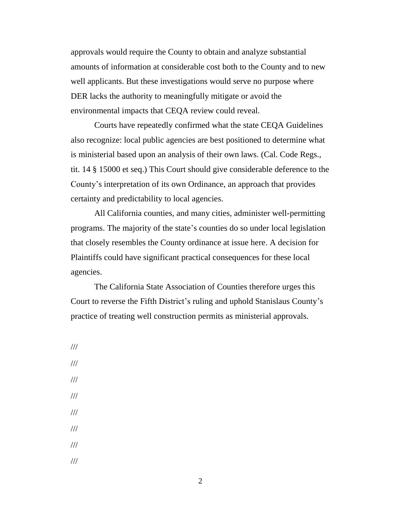approvals would require the County to obtain and analyze substantial amounts of information at considerable cost both to the County and to new well applicants. But these investigations would serve no purpose where DER lacks the authority to meaningfully mitigate or avoid the environmental impacts that CEQA review could reveal.

Courts have repeatedly confirmed what the state CEQA Guidelines also recognize: local public agencies are best positioned to determine what is ministerial based upon an analysis of their own laws. (Cal. Code Regs., tit. 14 § 15000 et seq.) This Court should give considerable deference to the County's interpretation of its own Ordinance, an approach that provides certainty and predictability to local agencies.

All California counties, and many cities, administer well-permitting programs. The majority of the state's counties do so under local legislation that closely resembles the County ordinance at issue here. A decision for Plaintiffs could have significant practical consequences for these local agencies.

The California State Association of Counties therefore urges this Court to reverse the Fifth District's ruling and uphold Stanislaus County's practice of treating well construction permits as ministerial approvals.

<span id="page-7-0"></span>/// /// /// /// /// /// /// ///

2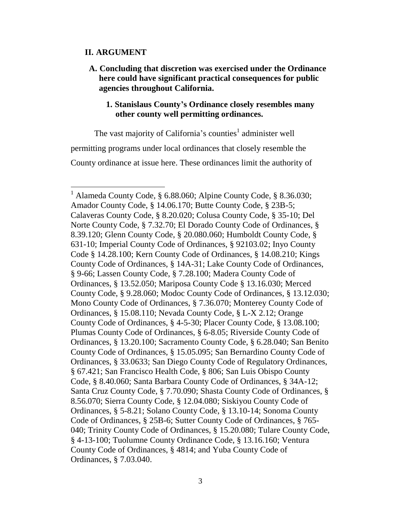### <span id="page-8-0"></span>**II. ARGUMENT**

 $\overline{a}$ 

<span id="page-8-1"></span>**A. Concluding that discretion was exercised under the Ordinance here could have significant practical consequences for public agencies throughout California.** 

### **1. Stanislaus County's Ordinance closely resembles many other county well permitting ordinances.**

The vast majority of California's counties<sup>1</sup> administer well permitting programs under local ordinances that closely resemble the County ordinance at issue here. These ordinances limit the authority of

<sup>1</sup> Alameda County Code, § 6.88.060; Alpine County Code, § 8.36.030; Amador County Code, § 14.06.170; Butte County Code, § 23B-5; Calaveras County Code, § 8.20.020; Colusa County Code, § 35-10; Del Norte County Code, § 7.32.70; El Dorado County Code of Ordinances, § 8.39.120; Glenn County Code, § 20.080.060; Humboldt County Code, § 631-10; Imperial County Code of Ordinances, § 92103.02; Inyo County Code § 14.28.100; Kern County Code of Ordinances, § 14.08.210; Kings County Code of Ordinances, § 14A-31; Lake County Code of Ordinances, § 9-66; Lassen County Code, § 7.28.100; Madera County Code of Ordinances, § 13.52.050; Mariposa County Code § 13.16.030; Merced County Code, § 9.28.060; Modoc County Code of Ordinances, § 13.12.030; Mono County Code of Ordinances, § 7.36.070; Monterey County Code of Ordinances, § 15.08.110; Nevada County Code, § L-X 2.12; Orange County Code of Ordinances, § 4-5-30; Placer County Code, § 13.08.100; Plumas County Code of Ordinances, § 6-8.05; Riverside County Code of Ordinances, § 13.20.100; Sacramento County Code, § 6.28.040; San Benito County Code of Ordinances, § 15.05.095; San Bernardino County Code of Ordinances, § 33.0633; San Diego County Code of Regulatory Ordinances, § 67.421; San Francisco Health Code, § 806; San Luis Obispo County Code, § 8.40.060; Santa Barbara County Code of Ordinances, § 34A-12; Santa Cruz County Code, § 7.70.090; Shasta County Code of Ordinances, § 8.56.070; Sierra County Code, § 12.04.080; Siskiyou County Code of Ordinances, § 5-8.21; Solano County Code, § 13.10-14; Sonoma County Code of Ordinances, § 25B-6; Sutter County Code of Ordinances, § 765- 040; Trinity County Code of Ordinances, § 15.20.080; Tulare County Code, § 4-13-100; Tuolumne County Ordinance Code, § 13.16.160; Ventura County Code of Ordinances, § 4814; and Yuba County Code of Ordinances, § 7.03.040.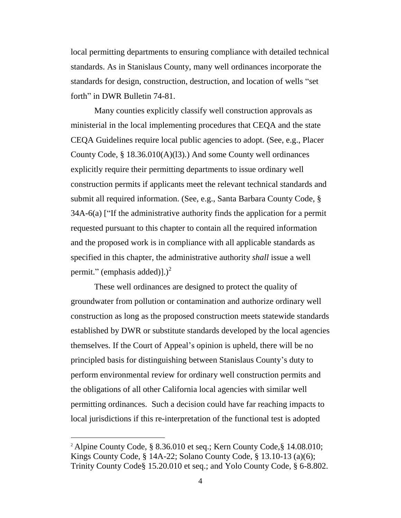local permitting departments to ensuring compliance with detailed technical standards. As in Stanislaus County, many well ordinances incorporate the standards for design, construction, destruction, and location of wells "set forth" in DWR Bulletin 74-81.

Many counties explicitly classify well construction approvals as ministerial in the local implementing procedures that CEQA and the state CEQA Guidelines require local public agencies to adopt. (See, e.g., Placer County Code, § 18.36.010(A)(l3).) And some County well ordinances explicitly require their permitting departments to issue ordinary well construction permits if applicants meet the relevant technical standards and submit all required information. (See, e.g., Santa Barbara County Code, § 34A-6(a) ["If the administrative authority finds the application for a permit requested pursuant to this chapter to contain all the required information and the proposed work is in compliance with all applicable standards as specified in this chapter, the administrative authority *shall* issue a well permit." (emphasis added)].)<sup>2</sup>

These well ordinances are designed to protect the quality of groundwater from pollution or contamination and authorize ordinary well construction as long as the proposed construction meets statewide standards established by DWR or substitute standards developed by the local agencies themselves. If the Court of Appeal's opinion is upheld, there will be no principled basis for distinguishing between Stanislaus County's duty to perform environmental review for ordinary well construction permits and the obligations of all other California local agencies with similar well permitting ordinances. Such a decision could have far reaching impacts to local jurisdictions if this re-interpretation of the functional test is adopted

 $\overline{a}$ 

<sup>2</sup> Alpine County Code, § 8.36.010 et seq.; Kern County Code,§ 14.08.010; Kings County Code, § 14A-22; Solano County Code, § 13.10-13 (a)(6); Trinity County Code§ 15.20.010 et seq.; and Yolo County Code, § 6-8.802.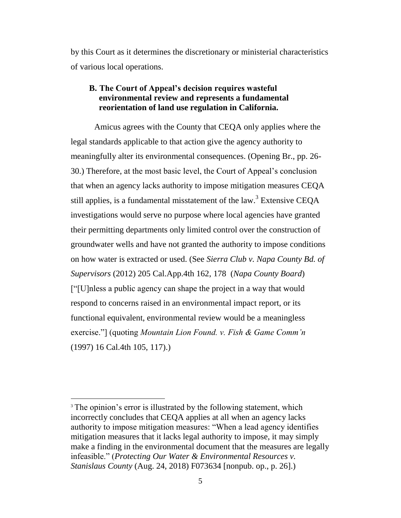by this Court as it determines the discretionary or ministerial characteristics of various local operations.

## <span id="page-10-0"></span>**B. The Court of Appeal's decision requires wasteful environmental review and represents a fundamental reorientation of land use regulation in California.**

Amicus agrees with the County that CEQA only applies where the legal standards applicable to that action give the agency authority to meaningfully alter its environmental consequences. (Opening Br., pp. 26- 30.) Therefore, at the most basic level, the Court of Appeal's conclusion that when an agency lacks authority to impose mitigation measures CEQA still applies, is a fundamental misstatement of the law.<sup>3</sup> Extensive CEQA investigations would serve no purpose where local agencies have granted their permitting departments only limited control over the construction of groundwater wells and have not granted the authority to impose conditions on how water is extracted or used. (See *Sierra Club v. Napa County Bd. of Supervisors* (2012) 205 Cal.App.4th 162, 178 (*Napa County Board*) ["[U]nless a public agency can shape the project in a way that would respond to concerns raised in an environmental impact report, or its functional equivalent, environmental review would be a meaningless exercise."] (quoting *Mountain Lion Found. v. Fish & Game Comm'n* (1997) 16 Cal.4th 105, 117).)

 $\overline{a}$ 

<sup>&</sup>lt;sup>3</sup> The opinion's error is illustrated by the following statement, which incorrectly concludes that CEQA applies at all when an agency lacks authority to impose mitigation measures: "When a lead agency identifies mitigation measures that it lacks legal authority to impose, it may simply make a finding in the environmental document that the measures are legally infeasible." (*Protecting Our Water & Environmental Resources v. Stanislaus County* (Aug. 24, 2018) F073634 [nonpub. op., p. 26].)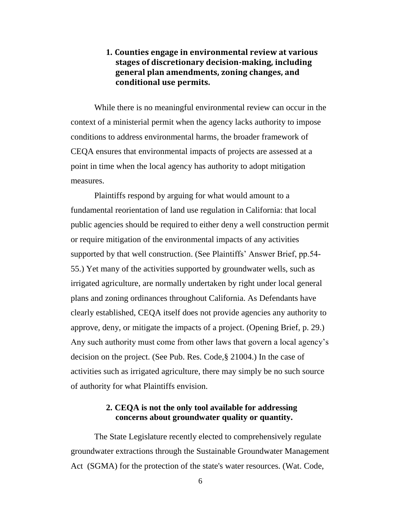## <span id="page-11-0"></span>**1. Counties engage in environmental review at various stages of discretionary decision-making, including general plan amendments, zoning changes, and conditional use permits.**

While there is no meaningful environmental review can occur in the context of a ministerial permit when the agency lacks authority to impose conditions to address environmental harms, the broader framework of CEQA ensures that environmental impacts of projects are assessed at a point in time when the local agency has authority to adopt mitigation measures.

Plaintiffs respond by arguing for what would amount to a fundamental reorientation of land use regulation in California: that local public agencies should be required to either deny a well construction permit or require mitigation of the environmental impacts of any activities supported by that well construction. (See Plaintiffs' Answer Brief, pp.54- 55.) Yet many of the activities supported by groundwater wells, such as irrigated agriculture, are normally undertaken by right under local general plans and zoning ordinances throughout California. As Defendants have clearly established, CEQA itself does not provide agencies any authority to approve, deny, or mitigate the impacts of a project. (Opening Brief, p. 29.) Any such authority must come from other laws that govern a local agency's decision on the project. (See Pub. Res. Code,§ 21004.) In the case of activities such as irrigated agriculture, there may simply be no such source of authority for what Plaintiffs envision.

### **2. CEQA is not the only tool available for addressing concerns about groundwater quality or quantity.**

<span id="page-11-1"></span>The State Legislature recently elected to comprehensively regulate groundwater extractions through the Sustainable Groundwater Management Act (SGMA) for the protection of the state's water resources. (Wat. Code,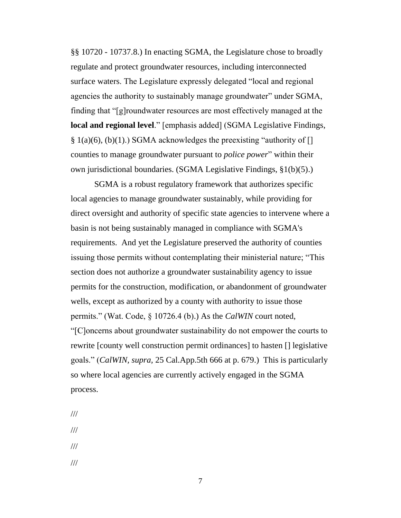§§ 10720 - 10737.8.) In enacting SGMA, the Legislature chose to broadly regulate and protect groundwater resources, including interconnected surface waters. The Legislature expressly delegated "local and regional agencies the authority to sustainably manage groundwater" under SGMA, finding that "[g]roundwater resources are most effectively managed at the **local and regional level**." [emphasis added] (SGMA Legislative Findings,  $\S$  1(a)(6), (b)(1).) SGMA acknowledges the preexisting "authority of [] counties to manage groundwater pursuant to *police power*" within their own jurisdictional boundaries. (SGMA Legislative Findings, §1(b)(5).)

SGMA is a robust regulatory framework that authorizes specific local agencies to manage groundwater sustainably, while providing for direct oversight and authority of specific state agencies to intervene where a basin is not being sustainably managed in compliance with SGMA's requirements. And yet the Legislature preserved the authority of counties issuing those permits without contemplating their ministerial nature; "This section does not authorize a groundwater sustainability agency to issue permits for the construction, modification, or abandonment of groundwater wells, except as authorized by a county with authority to issue those permits." (Wat. Code, § 10726.4 (b).) As the *CalWIN* court noted, "[C]oncerns about groundwater sustainability do not empower the courts to rewrite [county well construction permit ordinances] to hasten [] legislative goals." (*CalWIN, supra,* 25 Cal.App.5th 666 at p. 679.) This is particularly so where local agencies are currently actively engaged in the SGMA process.

- <span id="page-12-0"></span>///
- ///
- 
- ///
- ///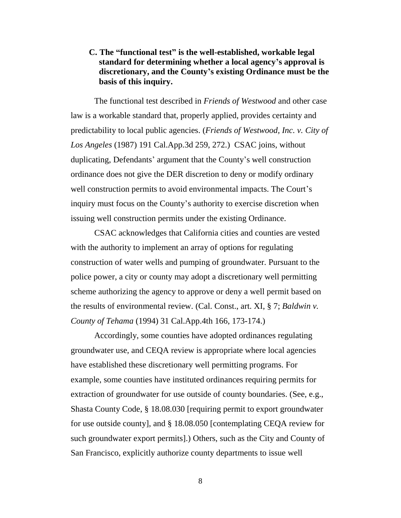## **C. The "functional test" is the well-established, workable legal standard for determining whether a local agency's approval is discretionary, and the County's existing Ordinance must be the basis of this inquiry.**

The functional test described in *Friends of Westwood* and other case law is a workable standard that, properly applied, provides certainty and predictability to local public agencies. (*Friends of Westwood, Inc. v. City of Los Angeles* (1987) 191 Cal.App.3d 259, 272.) CSAC joins, without duplicating, Defendants' argument that the County's well construction ordinance does not give the DER discretion to deny or modify ordinary well construction permits to avoid environmental impacts. The Court's inquiry must focus on the County's authority to exercise discretion when issuing well construction permits under the existing Ordinance.

CSAC acknowledges that California cities and counties are vested with the authority to implement an array of options for regulating construction of water wells and pumping of groundwater. Pursuant to the police power, a city or county may adopt a discretionary well permitting scheme authorizing the agency to approve or deny a well permit based on the results of environmental review. (Cal. Const., art. XI, § 7; *Baldwin v. County of Tehama* (1994) 31 Cal.App.4th 166, 173-174.)

Accordingly, some counties have adopted ordinances regulating groundwater use, and CEQA review is appropriate where local agencies have established these discretionary well permitting programs. For example, some counties have instituted ordinances requiring permits for extraction of groundwater for use outside of county boundaries. (See, e.g., Shasta County Code, § 18.08.030 [requiring permit to export groundwater for use outside county], and § 18.08.050 [contemplating CEQA review for such groundwater export permits].) Others, such as the City and County of San Francisco, explicitly authorize county departments to issue well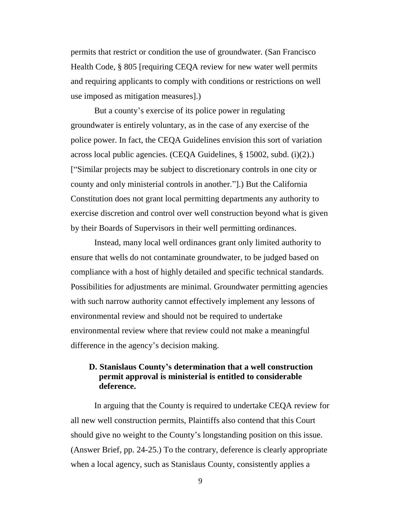permits that restrict or condition the use of groundwater. (San Francisco Health Code, § 805 [requiring CEQA review for new water well permits and requiring applicants to comply with conditions or restrictions on well use imposed as mitigation measures].)

But a county's exercise of its police power in regulating groundwater is entirely voluntary, as in the case of any exercise of the police power. In fact, the CEQA Guidelines envision this sort of variation across local public agencies. (CEQA Guidelines, § 15002, subd. (i)(2).) ["Similar projects may be subject to discretionary controls in one city or county and only ministerial controls in another."].) But the California Constitution does not grant local permitting departments any authority to exercise discretion and control over well construction beyond what is given by their Boards of Supervisors in their well permitting ordinances.

Instead, many local well ordinances grant only limited authority to ensure that wells do not contaminate groundwater, to be judged based on compliance with a host of highly detailed and specific technical standards. Possibilities for adjustments are minimal. Groundwater permitting agencies with such narrow authority cannot effectively implement any lessons of environmental review and should not be required to undertake environmental review where that review could not make a meaningful difference in the agency's decision making.

## <span id="page-14-0"></span>**D. Stanislaus County's determination that a well construction permit approval is ministerial is entitled to considerable deference.**

In arguing that the County is required to undertake CEQA review for all new well construction permits, Plaintiffs also contend that this Court should give no weight to the County's longstanding position on this issue. (Answer Brief, pp. 24-25.) To the contrary, deference is clearly appropriate when a local agency, such as Stanislaus County, consistently applies a

9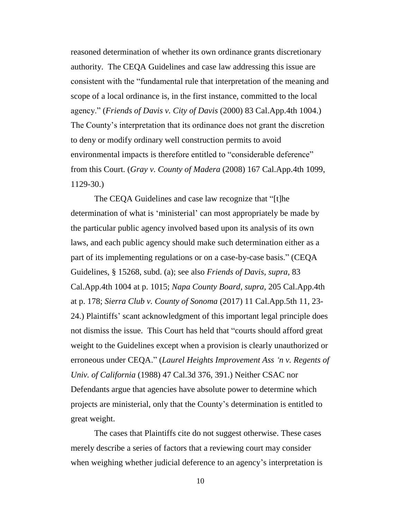reasoned determination of whether its own ordinance grants discretionary authority. The CEQA Guidelines and case law addressing this issue are consistent with the "fundamental rule that interpretation of the meaning and scope of a local ordinance is, in the first instance, committed to the local agency." (*Friends of Davis v. City of Davis* (2000) 83 Cal.App.4th 1004.) The County's interpretation that its ordinance does not grant the discretion to deny or modify ordinary well construction permits to avoid environmental impacts is therefore entitled to "considerable deference" from this Court. (*Gray v. County of Madera* (2008) 167 Cal.App.4th 1099, 1129-30.)

The CEQA Guidelines and case law recognize that "[t]he determination of what is 'ministerial' can most appropriately be made by the particular public agency involved based upon its analysis of its own laws, and each public agency should make such determination either as a part of its implementing regulations or on a case-by-case basis." (CEQA Guidelines, § 15268, subd. (a); see also *Friends of Davis, supra,* 83 Cal.App.4th 1004 at p. 1015; *Napa County Board*, *supra,* 205 Cal.App.4th at p. 178; *Sierra Club v. County of Sonoma* (2017) 11 Cal.App.5th 11, 23- 24.) Plaintiffs' scant acknowledgment of this important legal principle does not dismiss the issue. This Court has held that "courts should afford great weight to the Guidelines except when a provision is clearly unauthorized or erroneous under CEQA." (*Laurel Heights Improvement Ass 'n v. Regents of Univ. of California* (1988) 47 Cal.3d 376, 391.) Neither CSAC nor Defendants argue that agencies have absolute power to determine which projects are ministerial, only that the County's determination is entitled to great weight.

The cases that Plaintiffs cite do not suggest otherwise. These cases merely describe a series of factors that a reviewing court may consider when weighing whether judicial deference to an agency's interpretation is

10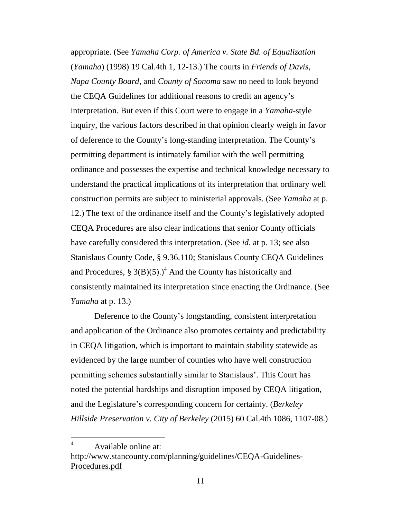appropriate. (See *Yamaha Corp. of America v. State Bd. of Equalization* (*Yamaha*) (1998) 19 Cal.4th 1, 12-13.) The courts in *Friends of Davis*, *Napa County Board*, and *County of Sonoma* saw no need to look beyond the CEQA Guidelines for additional reasons to credit an agency's interpretation. But even if this Court were to engage in a *Yamaha*-style inquiry, the various factors described in that opinion clearly weigh in favor of deference to the County's long-standing interpretation. The County's permitting department is intimately familiar with the well permitting ordinance and possesses the expertise and technical knowledge necessary to understand the practical implications of its interpretation that ordinary well construction permits are subject to ministerial approvals. (See *Yamaha* at p. 12.) The text of the ordinance itself and the County's legislatively adopted CEQA Procedures are also clear indications that senior County officials have carefully considered this interpretation. (See *id*. at p. 13; see also Stanislaus County Code, § 9.36.110; Stanislaus County CEQA Guidelines and Procedures, § 3(B)(5).)<sup>4</sup> And the County has historically and consistently maintained its interpretation since enacting the Ordinance. (See *Yamaha* at p. 13.)

Deference to the County's longstanding, consistent interpretation and application of the Ordinance also promotes certainty and predictability in CEQA litigation, which is important to maintain stability statewide as evidenced by the large number of counties who have well construction permitting schemes substantially similar to Stanislaus'. This Court has noted the potential hardships and disruption imposed by CEQA litigation, and the Legislature's corresponding concern for certainty. (*Berkeley Hillside Preservation v. City of Berkeley* (2015) 60 Cal.4th 1086, 1107-08.)

<sup>4</sup> Available online at:

 $\overline{a}$ 

[http://www.stancounty.com/planning/guidelines/CEQA-Guidelines-](http://www.stancounty.com/planning/guidelines/CEQA-Guidelines-Procedures.pdf)[Procedures.pdf](http://www.stancounty.com/planning/guidelines/CEQA-Guidelines-Procedures.pdf)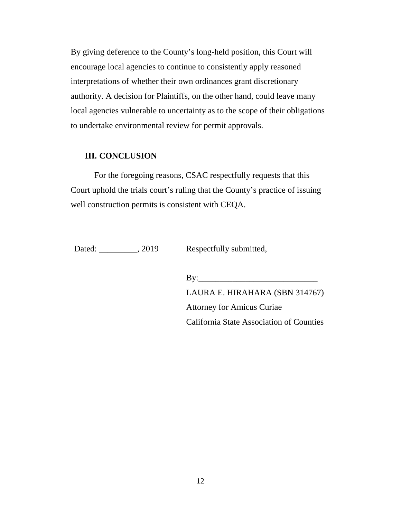By giving deference to the County's long-held position, this Court will encourage local agencies to continue to consistently apply reasoned interpretations of whether their own ordinances grant discretionary authority. A decision for Plaintiffs, on the other hand, could leave many local agencies vulnerable to uncertainty as to the scope of their obligations to undertake environmental review for permit approvals.

### <span id="page-17-0"></span>**III. CONCLUSION**

For the foregoing reasons, CSAC respectfully requests that this Court uphold the trials court's ruling that the County's practice of issuing well construction permits is consistent with CEQA.

Dated: \_\_\_\_\_\_\_\_, 2019 Respectfully submitted,

 $\mathbf{B} \mathbf{y}$ : LAURA E. HIRAHARA (SBN 314767) Attorney for Amicus Curiae California State Association of Counties